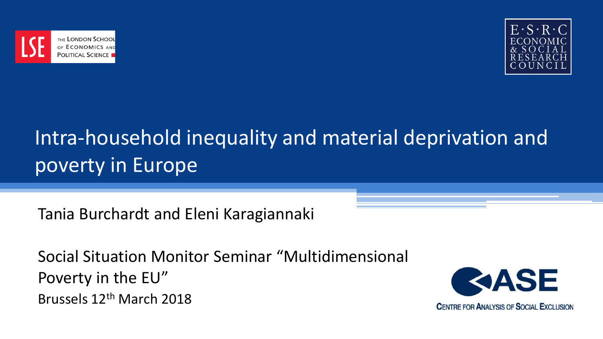



# Intra-household inequality and material deprivation and poverty in Europe

Tania Burchardt and Eleni Karagiannaki

Social Situation Monitor Seminar "Multidimensional Poverty in the EU" Brussels 12th March 2018

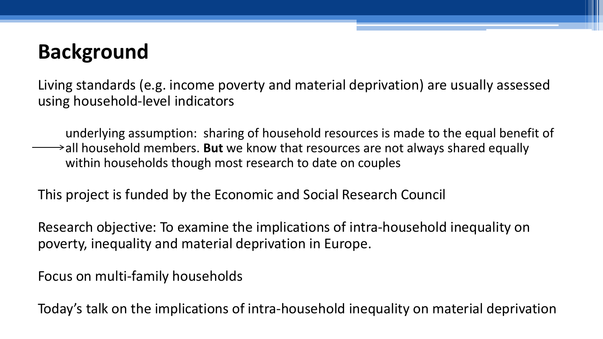## **Background**

Living standards (e.g. income poverty and material deprivation) are usually assessed using household-level indicators

underlying assumption: sharing of household resources is made to the equal benefit of all household members. **But** we know that resources are not always shared equally within households though most research to date on couples

This project is funded by the Economic and Social Research Council

Research objective: To examine the implications of intra-household inequality on poverty, inequality and material deprivation in Europe.

Focus on multi-family households

Today's talk on the implications of intra-household inequality on material deprivation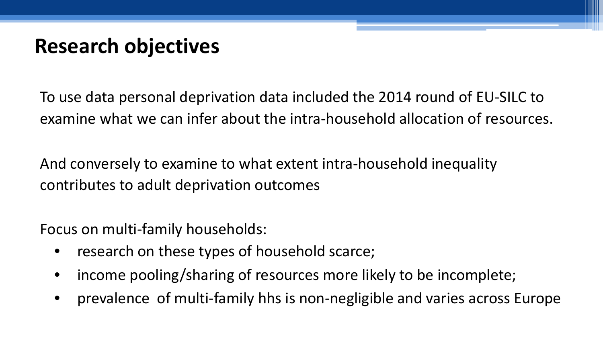## **Research objectives**

To use data personal deprivation data included the 2014 round of EU-SILC to examine what we can infer about the intra-household allocation of resources.

And conversely to examine to what extent intra-household inequality contributes to adult deprivation outcomes

Focus on multi-family households:

- research on these types of household scarce;
- income pooling/sharing of resources more likely to be incomplete;
- prevalence of multi-family hhs is non-negligible and varies across Europe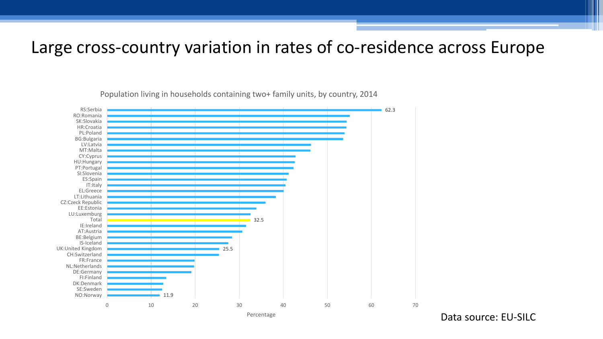#### Large cross-country variation in rates of co-residence across Europe

11.9 25.5 32.5 62.3 0 10 20 30 40 50 60 70 NO:Norway SE:Sweden DK:Denmark FI:Finland DE:Germany NL:Netherlands FR:France CH:Switzerland UK:United Kingdom IS-Iceland BE:Belgium AT:Austria IE:Ireland Total LU:Luxemburg EE:Estonia CZ:Czeck Republic LT:Lithuania EL:Greece IT: İtaly ES:Spain SI:Slovenia PT:Portugal HU:Hungary CY:Cyprus MT:Malta LV:Latvia BG:Bulgaria PL:Poland HR:Croatia SK:Slovakia RO:Romania RS:Serbia

Population living in households containing two+ family units, by country, 2014

Percentage

Data source: EU-SILC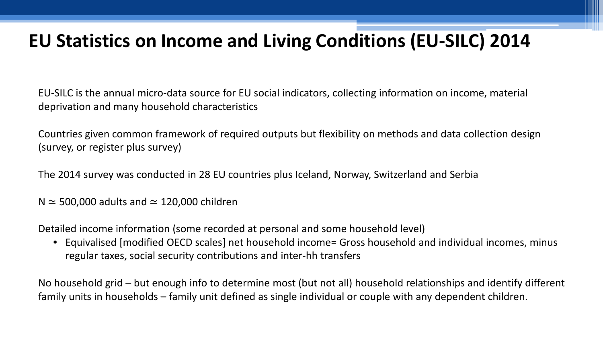#### **EU Statistics on Income and Living Conditions (EU-SILC) 2014**

EU-SILC is the annual micro-data source for EU social indicators, collecting information on income, material deprivation and many household characteristics

Countries given common framework of required outputs but flexibility on methods and data collection design (survey, or register plus survey)

The 2014 survey was conducted in 28 EU countries plus Iceland, Norway, Switzerland and Serbia

N ≃ 500,000 adults and ≃ 120,000 children

Detailed income information (some recorded at personal and some household level)

• Equivalised [modified OECD scales] net household income= Gross household and individual incomes, minus regular taxes, social security contributions and inter-hh transfers

No household grid – but enough info to determine most (but not all) household relationships and identify different family units in households – family unit defined as single individual or couple with any dependent children.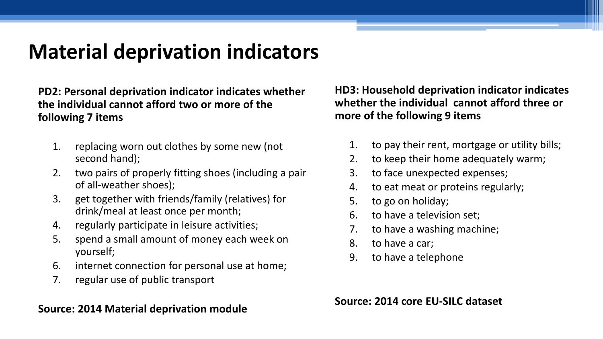## **Material deprivation indicators**

**PD2: Personal deprivation indicator indicates whether the individual cannot afford two or more of the following 7 items**

- 1. replacing worn out clothes by some new (not second hand);
- 2. two pairs of properly fitting shoes (including a pair of all-weather shoes);
- 3. get together with friends/family (relatives) for drink/meal at least once per month;
- 4. regularly participate in leisure activities;
- 5. spend a small amount of money each week on yourself;
- 6. internet connection for personal use at home;
- 7. regular use of public transport

#### **Source: 2014 Material deprivation module**

**HD3: Household deprivation indicator indicates whether the individual cannot afford three or more of the following 9 items**

- 1. to pay their rent, mortgage or utility bills;
- 2. to keep their home adequately warm;
- 3. to face unexpected expenses;
- 4. to eat meat or proteins regularly;
- 5. to go on holiday;
- 6. to have a television set;
- 7. to have a washing machine;
- 8. to have a car;
- 9. to have a telephone

**Source: 2014 core EU-SILC dataset**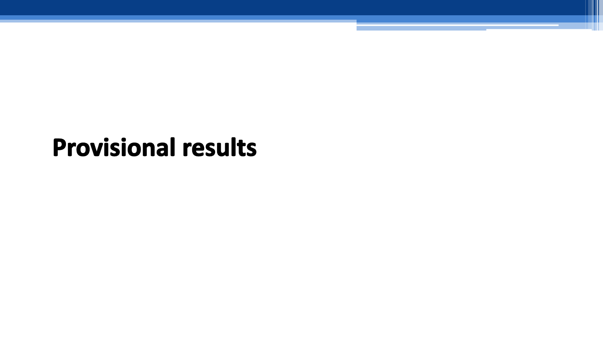# **Provisional results**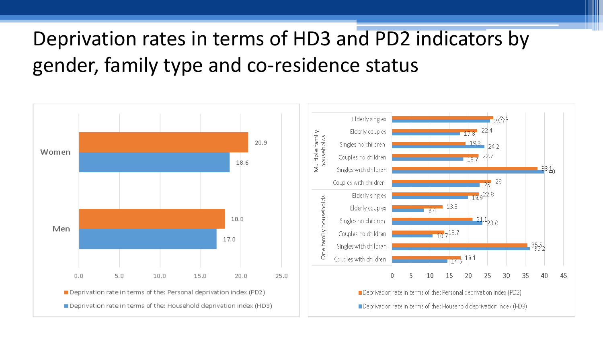# Deprivation rates in terms of HD3 and PD2 indicators by gender, family type and co-residence status

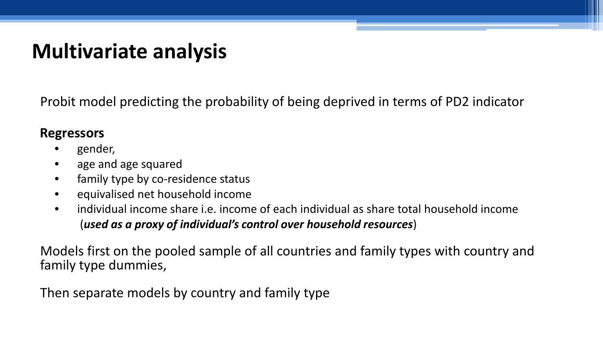### **Multivariate analysis**

Probit model predicting the probability of being deprived in terms of PD2 indicator

#### **Regressors**

- gender,
- age and age squared
- family type by co-residence status
- equivalised net household income
- individual income share i.e. income of each individual as share total household income (*used as a proxy of individual's control over household resources*)

Models first on the pooled sample of all countries and family types with country and family type dummies,

Then separate models by country and family type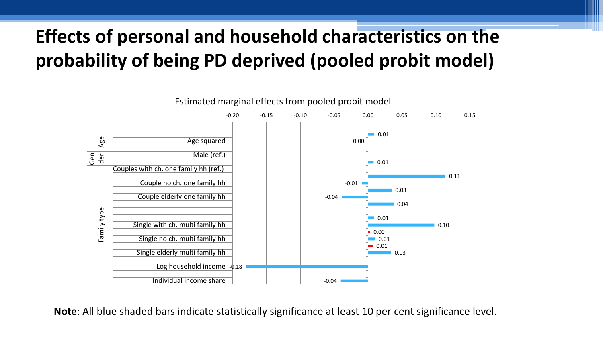#### **Effects of personal and household characteristics on the probability of being PD deprived (pooled probit model)**



Estimated marginal effects from pooled probit model

**Note**: All blue shaded bars indicate statistically significance at least 10 per cent significance level.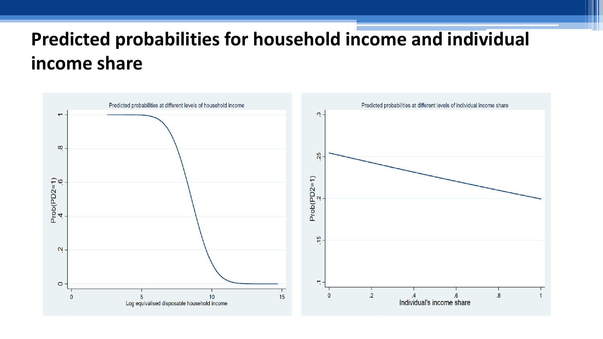#### **Predicted probabilities for household income and individual income share**

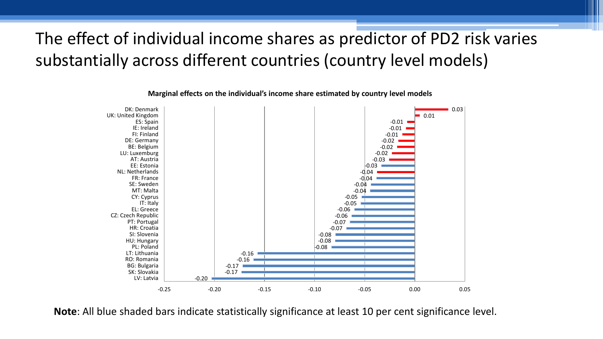#### The effect of individual income shares as predictor of PD2 risk varies substantially across different countries (country level models)



**Marginal effects on the individual's income share estimated by country level models**

**Note**: All blue shaded bars indicate statistically significance at least 10 per cent significance level.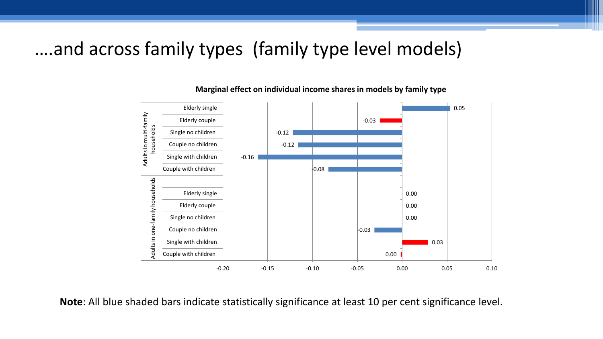#### ….and across family types (family type level models)



**Marginal effect on individual income shares in models by family type**

**Note**: All blue shaded bars indicate statistically significance at least 10 per cent significance level.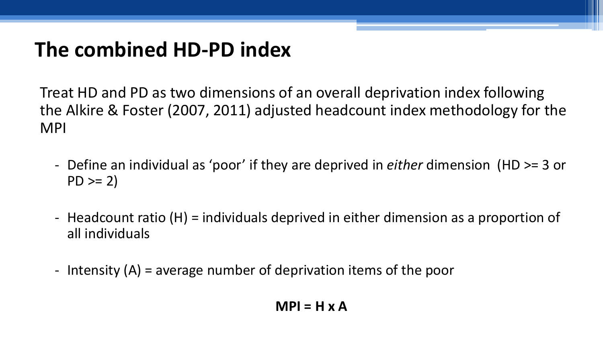## **The combined HD-PD index**

Treat HD and PD as two dimensions of an overall deprivation index following the Alkire & Foster (2007, 2011) adjusted headcount index methodology for the MPI

- Define an individual as 'poor' if they are deprived in *either* dimension (HD >= 3 or  $PD >= 2)$
- Headcount ratio (H) = individuals deprived in either dimension as a proportion of all individuals
- Intensity (A) = average number of deprivation items of the poor

#### **MPI = H x A**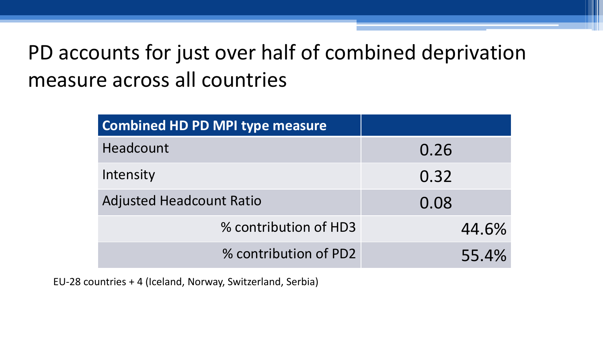# PD accounts for just over half of combined deprivation measure across all countries

| <b>Combined HD PD MPI type measure</b> |       |
|----------------------------------------|-------|
| Headcount                              | 0.26  |
| Intensity                              | 0.32  |
| <b>Adjusted Headcount Ratio</b>        | 0.08  |
| % contribution of HD3                  | 44.6% |
| % contribution of PD2                  | 55.4% |

EU-28 countries + 4 (Iceland, Norway, Switzerland, Serbia)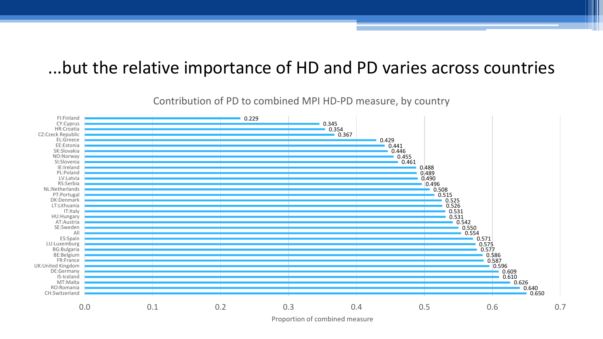#### ...but the relative importance of HD and PD varies across countries

0.650 0.640 0.626 0.610 0.609 0.596 0.587 0.586 0.577 0.575 0.571 0.554  $0.550$ 0.542 0.531 0.531 0.526 0.525 0.515 0.508  $0.496$ 0.490 0.489 0.488 0.461 0.455 0.446 0.441 0.429 0.367 0.354 0.345 0.229 0.0 0.1 0.2 0.3 0.4 0.5 0.6 0.7 CH:Switzerland RO:Romania MT:Malta IS-Iceland DE:Germany UK:United Kingdom FR:France BE:Belgium BG:Bulgaria LU:Luxemburg ES:Spain All SE:Sweden AT:Austria HU:Hungary IT:Italy LT:Lithuania DK:Denmark PT:Portugal NL:Netherlands RS:Serbia LV:Latvia PL:Poland IE:Ireland SI:Slovenia NO:Norway SK:Slovakia EE:Estonia EL:Greece CZ:Czeck Republic HR:Croatia CY:Cyprus FI:Finland

#### Contribution of PD to combined MPI HD-PD measure, by country

Proportion of combined measure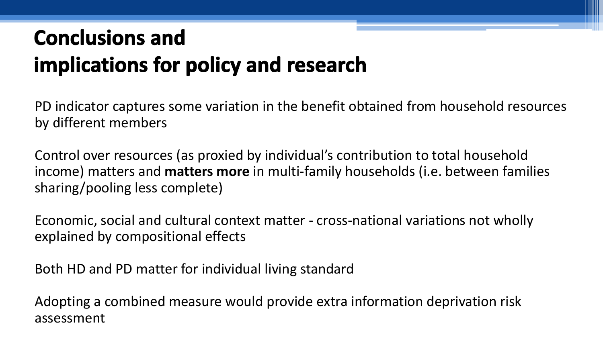# **Conclusions and** implications for policy and research

PD indicator captures some variation in the benefit obtained from household resources by different members

Control over resources (as proxied by individual's contribution to total household income) matters and **matters more** in multi-family households (i.e. between families sharing/pooling less complete)

Economic, social and cultural context matter - cross-national variations not wholly explained by compositional effects

Both HD and PD matter for individual living standard

Adopting a combined measure would provide extra information deprivation risk assessment